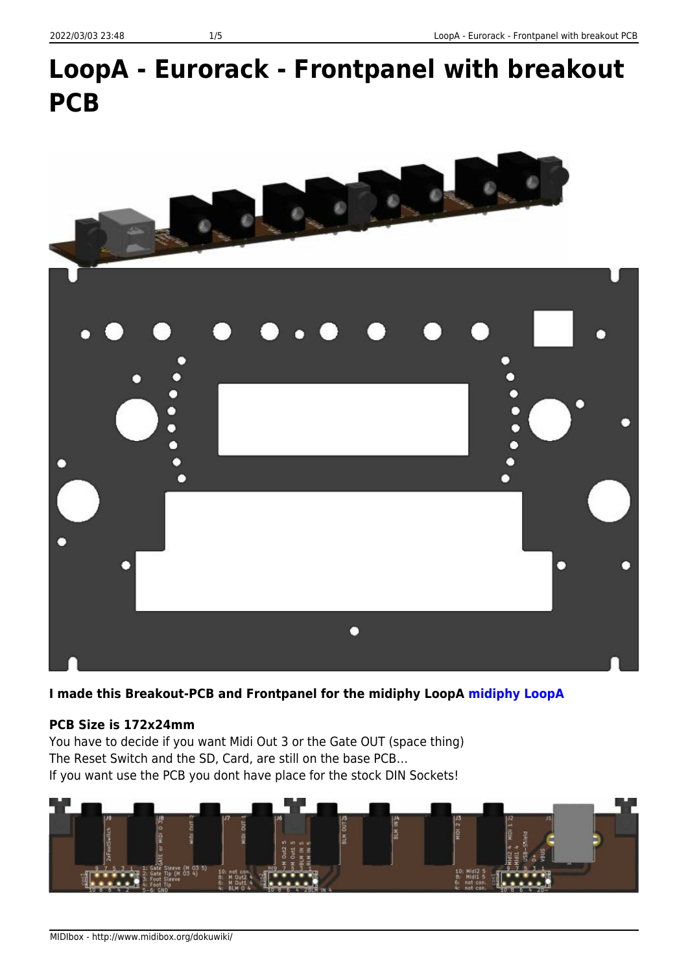# **LoopA - Eurorack - Frontpanel with breakout PCB**



**I made this Breakout-PCB and Frontpanel for the midiphy LoopA [midiphy LoopA](https://www.midiphy.com/en/loopa-v2/)**

#### **PCB Size is 172x24mm**

You have to decide if you want Midi Out 3 or the Gate OUT (space thing) The Reset Switch and the SD, Card, are still on the base PCB… If you want use the PCB you dont have place for the stock DIN Sockets!

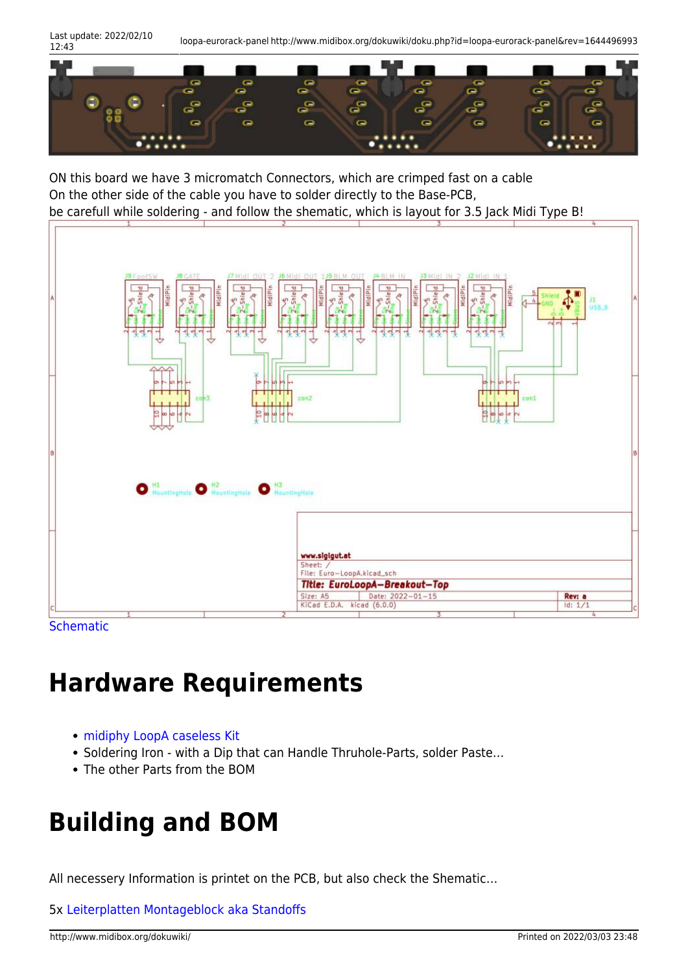Last update: 2022/02/10

12:43 loopa-eurorack-panel http://www.midibox.org/dokuwiki/doku.php?id=loopa-eurorack-panel&rev=1644496993



ON this board we have 3 micromatch Connectors, which are crimped fast on a cable On the other side of the cable you have to solder directly to the Base-PCB, be carefull while soldering - and follow the shematic, which is layout for 3.5 Jack Midi Type B!



**[Schematic](http://www.midibox.org/dokuwiki/lib/exe/fetch.php?media=phatline:euro-loopa-breakout-shematic.pdf)** 

## **Hardware Requirements**

- [midiphy LoopA caseless Kit](https://www.midiphy.com/en/shop-details/120/69/loopa-enhanced-caseless-essential-kit-diy-requantizing-performance-midi-sequencer-midiphy-midibox-stm32f4)
- Soldering Iron with a Dip that can Handle Thruhole-Parts, solder Paste…
- The other Parts from the BOM

## **Building and BOM**

All necessery Information is printet on the PCB, but also check the Shematic…

5x [Leiterplatten Montageblock aka Standoffs](https://www.buerklin.com/de/Montageblock/p/17H917)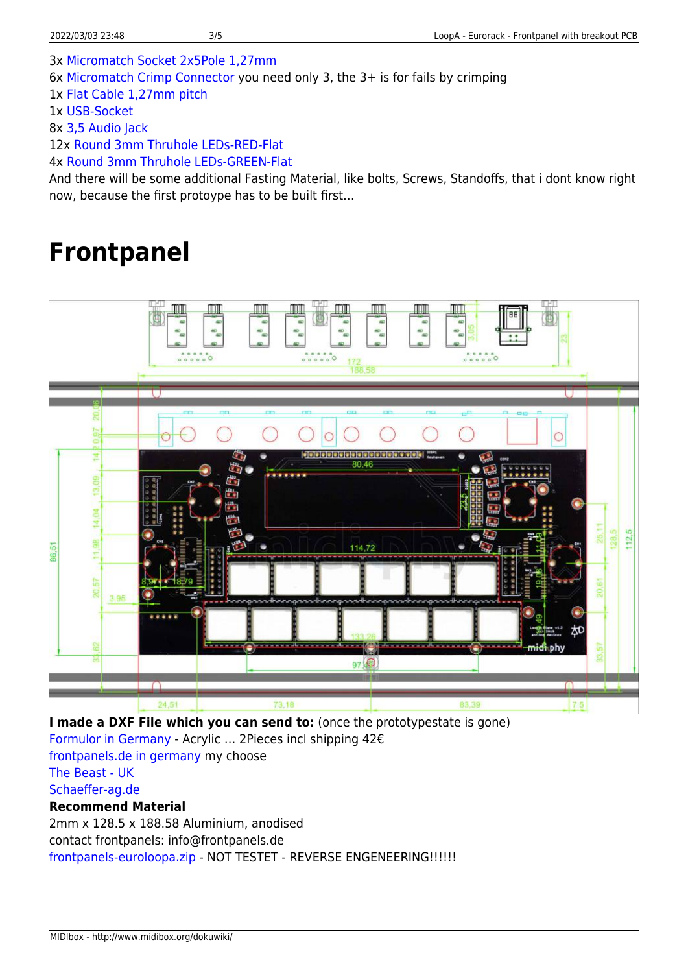3x [Micromatch Socket 2x5Pole 1,27mm](https://www.mouser.at/ProductDetail/TE-Connectivity/1-215079-0?qs=sGAEpiMZZMu2UVWuvJ5cF0NzRP25WJYp)

6x [Micromatch Crimp Connector](https://www.mouser.at/ProductDetail/TE-Connectivity/1-2178712-0?qs=Xjc0wECptJBhQ3iBLfHBBw%3D%3D) you need only 3, the 3+ is for fails by crimping

1x [Flat Cable 1,27mm pitch](https://www.mouser.at/ProductDetail/3M-Electronic-Solutions-Division/3365-10-CUT-LENGTH?qs=IOh0O5QtZ92VWnFEwLTckA%3D%3D)

1x [USB-Socket](https://www.mouser.at/ProductDetail/Molex/67068-7041?qs=%2Fha2pyFadugeFcqiSbHe2F3FlkyTY7p9rg69fYk%252bS0tr8kIPu4fJmw%3D%3D)

8x [3,5 Audio Jack](https://www.mouser.at/ProductDetail/CUI-Devices/SJ1-3535NG?qs=sGAEpiMZZMv0W4pxf2HiVz9SCMkER55fXrlpiF5mEoVt2p3Qc8GC6g%3D%3D)

12x [Round 3mm Thruhole LEDs-RED-Flat](https://www.mouser.at/ProductDetail/Lumex/SSL-LX30FT4ID?qs=sGAEpiMZZMuCm2JlHBGefjo7mRik%2FjcaqjK5FJOZhDc%3D)

4x [Round 3mm Thruhole LEDs-GREEN-Flat](https://www.mouser.at/ProductDetail/Lumex/SSL-LX30FT4GD?qs=sGAEpiMZZMuCm2JlHBGefjo7mRik%2FjcaResH8h9wozw%3D)

And there will be some additional Fasting Material, like bolts, Screws, Standoffs, that i dont know right now, because the first protoype has to be built first…

### **Frontpanel**



**I made a DXF File which you can send to:** (once the prototypestate is gone) [Formulor in Germany](https://www.formulor.de) - Acrylic … 2Pieces incl shipping 42€ [frontpanels.de in germany](https://shop.frontpanels.de/custom-panels) my choose [The Beast - UK](https://thebeast.co.uk/2d/)

[Schaeffer-ag.de](https://www.schaeffer-ag.de/en/)

#### **Recommend Material**

2mm x 128.5 x 188.58 Aluminium, anodised contact frontpanels: info@frontpanels.de [frontpanels-euroloopa.zip](http://www.midibox.org/dokuwiki/lib/exe/fetch.php?media=phatline:frontpanels-euroloopa.zip) - NOT TESTET - REVERSE ENGENEERING!!!!!!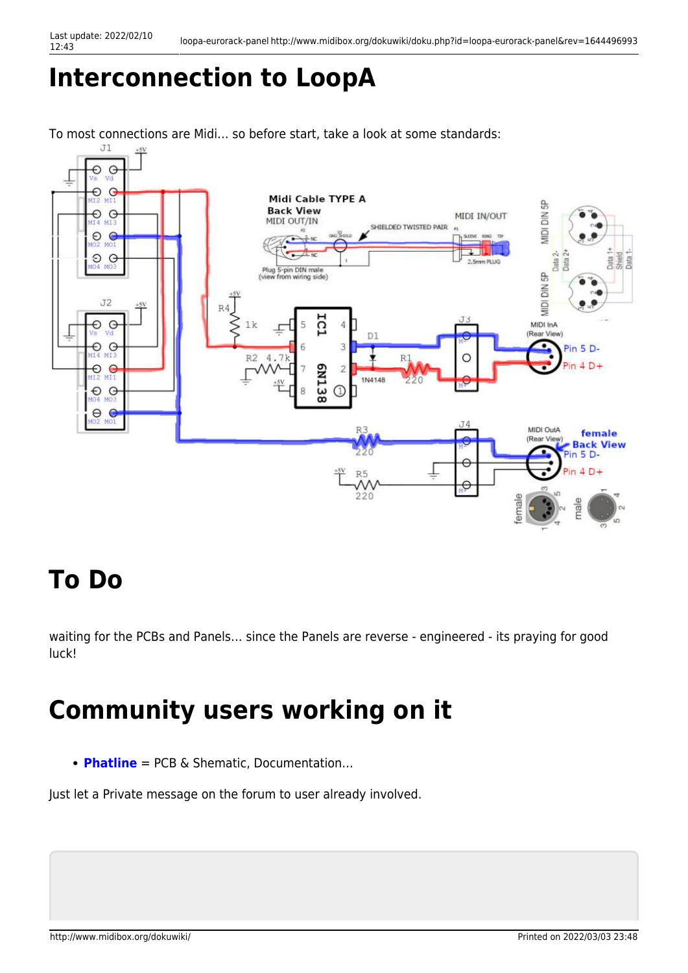## **Interconnection to LoopA**

To most connections are Midi... so before start, take a look at some standards:<br> $T_1$ 



## **To Do**

waiting for the PCBs and Panels… since the Panels are reverse - engineered - its praying for good luck!

## **Community users working on it**

**[Phatline](http://www.midibox.org/dokuwiki/doku.php?id=phatline)** = PCB & Shematic, Documentation…

Just let a Private message on the forum to user already involved.